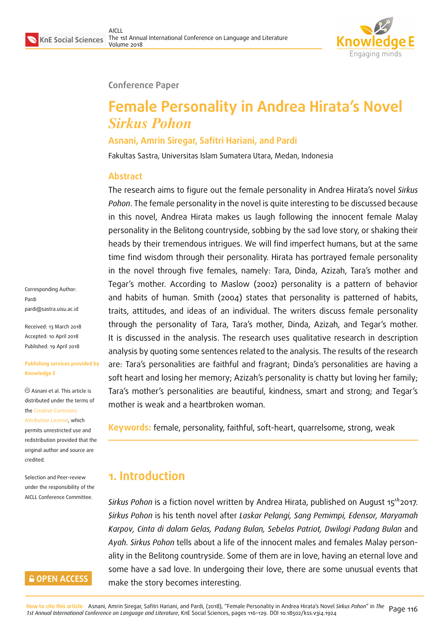

### **Conference Paper**

# **Female Personality in Andrea Hirata's Novel** *Sirkus Pohon*

### **Asnani, Amrin Siregar, Safitri Hariani, and Pardi**

Fakultas Sastra, Universitas Islam Sumatera Utara, Medan, Indonesia

### **Abstract**

The research aims to figure out the female personality in Andrea Hirata's novel *Sirkus Pohon*. The female personality in the novel is quite interesting to be discussed because in this novel, Andrea Hirata makes us laugh following the innocent female Malay personality in the Belitong countryside, sobbing by the sad love story, or shaking their heads by their tremendous intrigues. We will find imperfect humans, but at the same time find wisdom through their personality. Hirata has portrayed female personality in the novel through five females, namely: Tara, Dinda, Azizah, Tara's mother and Tegar's mother. According to Maslow (2002) personality is a pattern of behavior and habits of human. Smith (2004) states that personality is patterned of habits, traits, attitudes, and ideas of an individual. The writers discuss female personality through the personality of Tara, Tara's mother, Dinda, Azizah, and Tegar's mother. It is discussed in the analysis. The research uses qualitative research in description analysis by quoting some sentences related to the analysis. The results of the research are: Tara's personalities are faithful and fragrant; Dinda's personalities are having a soft heart and losing her memory; Azizah's personality is chatty but loving her family; Tara's mother's personalities are beautiful, kindness, smart and strong; and Tegar's mother is weak and a heartbroken woman.

**Keywords:** female, personality, faithful, soft-heart, quarrelsome, strong, weak

## **1. Introduction**

*Sirkus Pohon* is a fiction novel written by Andrea Hirata, published on August 15<sup>th</sup>2017. *Sirkus Pohon* is his tenth novel after *Laskar Pelangi, Sang Pemimpi, Edensor, Maryamah Karpov, Cinta di dalam Gelas, Padang Bulan, Sebelas Patriot, Dwilogi Padang Bulan* and *Ayah. Sirkus Pohon* tells about a life of the innocent males and females Malay personality in the Belitong countryside. Some of them are in love, having an eternal love and some have a sad love. In undergoing their love, there are some unusual events that make the story becomes interesting.

Corresponding Author: Pardi pardi@sastra.uisu.ac.id

Received: 13 March 2018 Accepted: 10 April 2018 [Published: 19 April 2018](mailto:pardi@sastra.uisu.ac.id)

#### **Publishing services provided by Knowledge E**

Asnani et al. This article is distributed under the terms of the Creative Commons Attribution License, which permits unrestricted use and

redistribution provided that the ori[ginal author and sou](https://creativecommons.org/licenses/by/4.0/)rce are [credited.](https://creativecommons.org/licenses/by/4.0/)

Selection and Peer-review under the responsibility of the AICLL Conference Committee.

### **GOPEN ACCESS**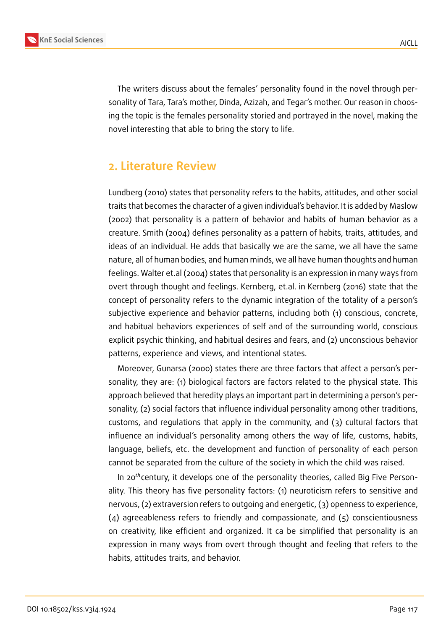

The writers discuss about the females' personality found in the novel through personality of Tara, Tara's mother, Dinda, Azizah, and Tegar's mother. Our reason in choosing the topic is the females personality storied and portrayed in the novel, making the novel interesting that able to bring the story to life.

## **2. Literature Review**

Lundberg (2010) states that personality refers to the habits, attitudes, and other social traits that becomes the character of a given individual's behavior. It is added by Maslow (2002) that personality is a pattern of behavior and habits of human behavior as a creature. Smith (2004) defines personality as a pattern of habits, traits, attitudes, and ideas of an individual. He adds that basically we are the same, we all have the same nature, all of human bodies, and human minds, we all have human thoughts and human feelings. Walter et.al (2004) states that personality is an expression in many ways from overt through thought and feelings. Kernberg, et.al. in Kernberg (2016) state that the concept of personality refers to the dynamic integration of the totality of a person's subjective experience and behavior patterns, including both (1) conscious, concrete, and habitual behaviors experiences of self and of the surrounding world, conscious explicit psychic thinking, and habitual desires and fears, and (2) unconscious behavior patterns, experience and views, and intentional states.

Moreover, Gunarsa (2000) states there are three factors that affect a person's personality, they are: (1) biological factors are factors related to the physical state. This approach believed that heredity plays an important part in determining a person's personality, (2) social factors that influence individual personality among other traditions, customs, and regulations that apply in the community, and (3) cultural factors that influence an individual's personality among others the way of life, customs, habits, language, beliefs, etc. the development and function of personality of each person cannot be separated from the culture of the society in which the child was raised.

In 20<sup>th</sup> century, it develops one of the personality theories, called Big Five Personality. This theory has five personality factors: (1) neuroticism refers to sensitive and nervous, (2) extraversion refers to outgoing and energetic, (3) openness to experience, (4) agreeableness refers to friendly and compassionate, and (5) conscientiousness on creativity, like efficient and organized. It ca be simplified that personality is an expression in many ways from overt through thought and feeling that refers to the habits, attitudes traits, and behavior.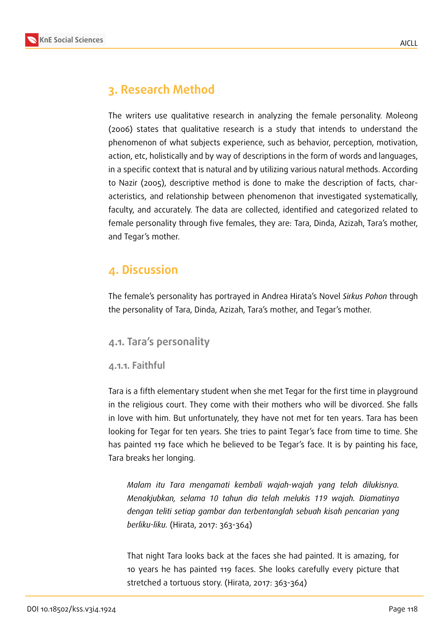

## **3. Research Method**

The writers use qualitative research in analyzing the female personality. Moleong (2006) states that qualitative research is a study that intends to understand the phenomenon of what subjects experience, such as behavior, perception, motivation, action, etc, holistically and by way of descriptions in the form of words and languages, in a specific context that is natural and by utilizing various natural methods. According to Nazir (2005), descriptive method is done to make the description of facts, characteristics, and relationship between phenomenon that investigated systematically, faculty, and accurately. The data are collected, identified and categorized related to female personality through five females, they are: Tara, Dinda, Azizah, Tara's mother, and Tegar's mother.

## **4. Discussion**

The female's personality has portrayed in Andrea Hirata's Novel *Sirkus Pohon* through the personality of Tara, Dinda, Azizah, Tara's mother, and Tegar's mother.

### **4.1. Tara's personality**

#### **4.1.1. Faithful**

Tara is a fifth elementary student when she met Tegar for the first time in playground in the religious court. They come with their mothers who will be divorced. She falls in love with him. But unfortunately, they have not met for ten years. Tara has been looking for Tegar for ten years. She tries to paint Tegar's face from time to time. She has painted 119 face which he believed to be Tegar's face. It is by painting his face, Tara breaks her longing.

*Malam itu Tara mengamati kembali wajah-wajah yang telah dilukisnya. Menakjubkan, selama 10 tahun dia telah melukis 119 wajah. Diamatinya dengan teliti setiap gambar dan terbentanglah sebuah kisah pencarian yang berliku-liku.* (Hirata, 2017: 363-364)

That night Tara looks back at the faces she had painted. It is amazing, for 10 years he has painted 119 faces. She looks carefully every picture that stretched a tortuous story. (Hirata, 2017: 363-364)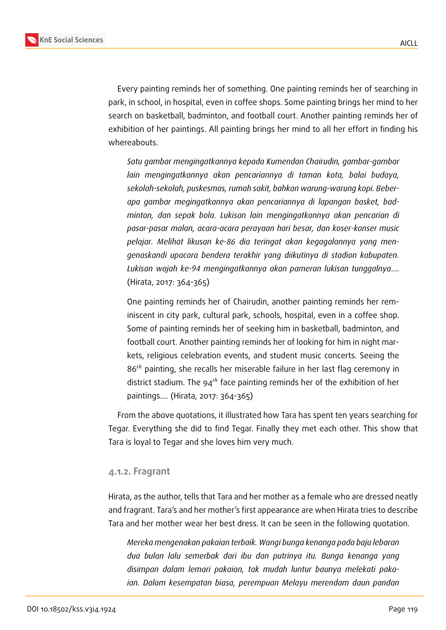

Every painting reminds her of something. One painting reminds her of searching in park, in school, in hospital, even in coffee shops. Some painting brings her mind to her search on basketball, badminton, and football court. Another painting reminds her of exhibition of her paintings. All painting brings her mind to all her effort in finding his whereabouts.

*Satu gambar mengingatkannya kepada Kumendan Chairudin, gambar-gambar lain mengingatkannya akan pencariannya di taman kota, balai budaya, sekolah-sekolah, puskesmas, rumah sakit, bahkan warung-warung kopi. Beberapa gambar megingatkannya akan pencariannya di lapangan basket, badminton, dan sepak bola. Lukisan lain mengingatkannya akan pencarian di pasar-pasar malan, acara-acara perayaan hari besar, dan koser-konser music pelajar. Melihat likusan ke-86 dia teringat akan kegagalannya yang mengenaskandi upacara bendera terakhir yang diikutinya di stadion kabupaten. Lukisan wajah ke-94 mengingatkannya akan pameran lukisan tunggalnya*…. (Hirata, 2017: 364-365)

One painting reminds her of Chairudin, another painting reminds her reminiscent in city park, cultural park, schools, hospital, even in a coffee shop. Some of painting reminds her of seeking him in basketball, badminton, and football court. Another painting reminds her of looking for him in night markets, religious celebration events, and student music concerts. Seeing the  $86<sup>th</sup>$  painting, she recalls her miserable failure in her last flag ceremony in district stadium. The  $94<sup>th</sup>$  face painting reminds her of the exhibition of her paintings…. (Hirata, 2017: 364-365)

From the above quotations, it illustrated how Tara has spent ten years searching for Tegar. Everything she did to find Tegar. Finally they met each other. This show that Tara is loyal to Tegar and she loves him very much.

#### **4.1.2. Fragrant**

Hirata, as the author, tells that Tara and her mother as a female who are dressed neatly and fragrant. Tara's and her mother's first appearance are when Hirata tries to describe Tara and her mother wear her best dress. It can be seen in the following quotation.

*Mereka mengenakan pakaian terbaik. Wangi bunga kenanga pada baju lebaran dua bulan lalu semerbak dari ibu dan putrinya itu. Bunga kenanga yang disimpan dalam lemari pakaian, tak mudah luntur baunya melekati pakaian. Dalam kesempatan biasa, perempuan Melayu merendam daun pandan*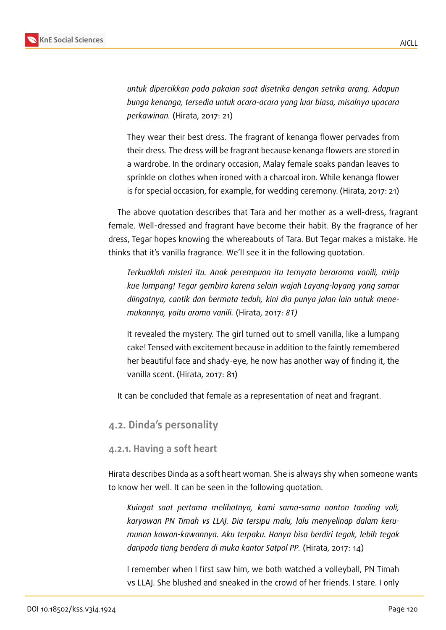

*untuk dipercikkan pada pakaian saat disetrika dengan setrika arang. Adapun bunga kenanga, tersedia untuk acara-acara yang luar biasa, misalnya upacara perkawinan.* (Hirata, 2017: 21)

They wear their best dress. The fragrant of kenanga flower pervades from their dress. The dress will be fragrant because kenanga flowers are stored in a wardrobe. In the ordinary occasion, Malay female soaks pandan leaves to sprinkle on clothes when ironed with a charcoal iron. While kenanga flower is for special occasion, for example, for wedding ceremony. (Hirata, 2017: 21)

The above quotation describes that Tara and her mother as a well-dress, fragrant female. Well-dressed and fragrant have become their habit. By the fragrance of her dress, Tegar hopes knowing the whereabouts of Tara. But Tegar makes a mistake. He thinks that it's vanilla fragrance. We'll see it in the following quotation.

*Terkuaklah misteri itu. Anak perempuan itu ternyata beraroma vanili, mirip kue lumpang! Tegar gembira karena selain wajah Layang-layang yang samar diingatnya, cantik dan bermata teduh, kini dia punya jalan lain untuk menemukannya, yaitu aroma vanili.* (Hirata, 2017: *81)*

It revealed the mystery. The girl turned out to smell vanilla, like a lumpang cake! Tensed with excitement because in addition to the faintly remembered her beautiful face and shady-eye, he now has another way of finding it, the vanilla scent. (Hirata, 2017: 81)

It can be concluded that female as a representation of neat and fragrant.

#### **4.2. Dinda's personality**

#### **4.2.1. Having a soft heart**

Hirata describes Dinda as a soft heart woman. She is always shy when someone wants to know her well. It can be seen in the following quotation.

*Kuingat saat pertama melihatnya, kami sama-sama nonton tanding voli, karyawan PN Timah vs LLAJ. Dia tersipu malu, lalu menyelinap dalam kerumunan kawan-kawannya. Aku terpaku. Hanya bisa berdiri tegak, lebih tegak daripada tiang bendera di muka kantor Satpol PP.* (Hirata, 2017: 14)

I remember when I first saw him, we both watched a volleyball, PN Timah vs LLAJ. She blushed and sneaked in the crowd of her friends. I stare. I only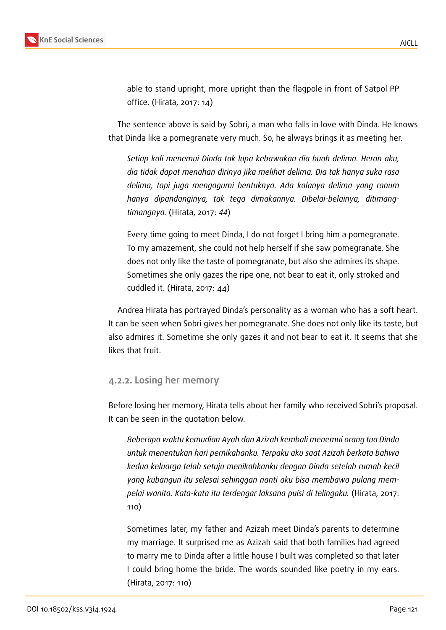

able to stand upright, more upright than the flagpole in front of Satpol PP office. (Hirata, 2017: 14)

The sentence above is said by Sobri, a man who falls in love with Dinda. He knows that Dinda like a pomegranate very much. So, he always brings it as meeting her.

*Setiap kali menemui Dinda tak lupa kebawakan dia buah delima. Heran aku, dia tidak dapat menahan dirinya jika melihat delima. Dia tak hanya suka rasa delima, tapi juga mengagumi bentuknya. Ada kalanya delima yang ranum hanya dipandanginya, tak tega dimakannya. Dibelai-belainya, ditimangtimangnya.* (Hirata, 2017: *44*)

Every time going to meet Dinda, I do not forget I bring him a pomegranate. To my amazement, she could not help herself if she saw pomegranate. She does not only like the taste of pomegranate, but also she admires its shape. Sometimes she only gazes the ripe one, not bear to eat it, only stroked and cuddled it. (Hirata, 2017: 44)

Andrea Hirata has portrayed Dinda's personality as a woman who has a soft heart. It can be seen when Sobri gives her pomegranate. She does not only like its taste, but also admires it. Sometime she only gazes it and not bear to eat it. It seems that she likes that fruit.

#### **4.2.2. Losing her memory**

Before losing her memory, Hirata tells about her family who received Sobri's proposal. It can be seen in the quotation below.

*Beberapa waktu kemudian Ayah dan Azizah kembali menemui orang tua Dinda untuk menentukan hari pernikahanku. Terpaku aku saat Azizah berkata bahwa kedua keluarga telah setuju menikahkanku dengan Dinda setelah rumah kecil yang kubangun itu selesai sehinggan nanti aku bisa membawa pulang mempelai wanita. Kata-kata itu terdengar laksana puisi di telingaku.* (Hirata, 2017: 110)

Sometimes later, my father and Azizah meet Dinda's parents to determine my marriage. It surprised me as Azizah said that both families had agreed to marry me to Dinda after a little house I built was completed so that later I could bring home the bride. The words sounded like poetry in my ears. (Hirata, 2017: 110)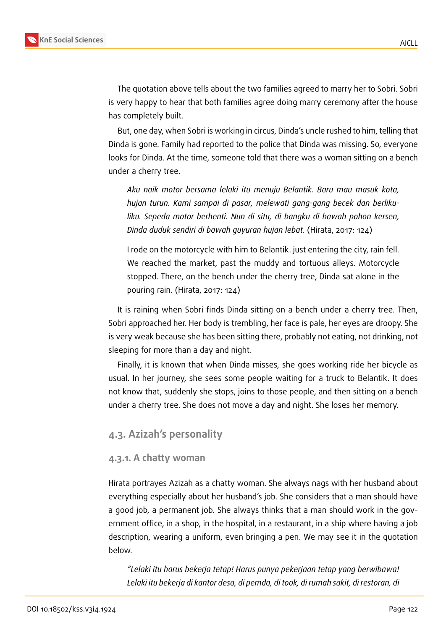

The quotation above tells about the two families agreed to marry her to Sobri. Sobri is very happy to hear that both families agree doing marry ceremony after the house has completely built.

But, one day, when Sobri is working in circus, Dinda's uncle rushed to him, telling that Dinda is gone. Family had reported to the police that Dinda was missing. So, everyone looks for Dinda. At the time, someone told that there was a woman sitting on a bench under a cherry tree.

*Aku naik motor bersama lelaki itu menuju Belantik. Baru mau masuk kota, hujan turun. Kami sampai di pasar, melewati gang-gang becek dan berlikuliku. Sepeda motor berhenti. Nun di situ, di bangku di bawah pohon kersen, Dinda duduk sendiri di bawah guyuran hujan lebat.* (Hirata, 2017: 124)

I rode on the motorcycle with him to Belantik. just entering the city, rain fell. We reached the market, past the muddy and tortuous alleys. Motorcycle stopped. There, on the bench under the cherry tree, Dinda sat alone in the pouring rain. (Hirata, 2017: 124)

It is raining when Sobri finds Dinda sitting on a bench under a cherry tree. Then, Sobri approached her. Her body is trembling, her face is pale, her eyes are droopy. She is very weak because she has been sitting there, probably not eating, not drinking, not sleeping for more than a day and night.

Finally, it is known that when Dinda misses, she goes working ride her bicycle as usual. In her journey, she sees some people waiting for a truck to Belantik. It does not know that, suddenly she stops, joins to those people, and then sitting on a bench under a cherry tree. She does not move a day and night. She loses her memory.

#### **4.3. Azizah's personality**

#### **4.3.1. A chatty woman**

Hirata portrayes Azizah as a chatty woman. She always nags with her husband about everything especially about her husband's job. She considers that a man should have a good job, a permanent job. She always thinks that a man should work in the government office, in a shop, in the hospital, in a restaurant, in a ship where having a job description, wearing a uniform, even bringing a pen. We may see it in the quotation below.

*"Lelaki itu harus bekerja tetap! Harus punya pekerjaan tetap yang berwibawa! Lelaki itu bekerja di kantor desa, di pemda, di took, di rumah sakit, di restoran, di*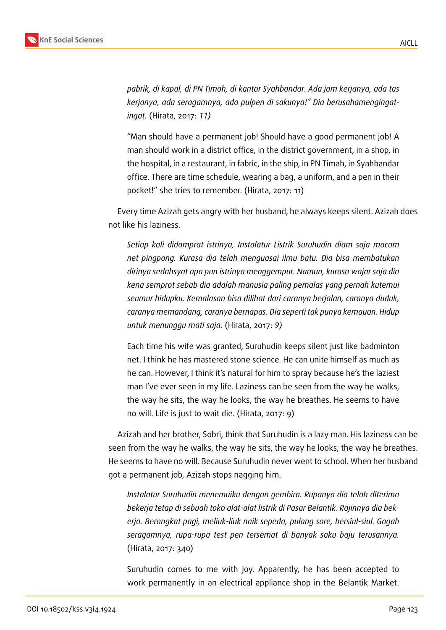

*pabrik, di kapal, di PN Timah, di kantor Syahbandar. Ada jam kerjanya, ada tas kerjanya, ada seragamnya, ada pulpen di sakunya!" Dia berusahamengingatingat.* (Hirata, 2017: *11)*

"Man should have a permanent job! Should have a good permanent job! A man should work in a district office, in the district government, in a shop, in the hospital, in a restaurant, in fabric, in the ship, in PN Timah, in Syahbandar office. There are time schedule, wearing a bag, a uniform, and a pen in their pocket!" she tries to remember. (Hirata, 2017: 11)

Every time Azizah gets angry with her husband, he always keeps silent. Azizah does not like his laziness.

*Setiap kali didamprat istrinya, Instalatur Listrik Suruhudin diam saja macam net pingpong. Kurasa dia telah menguasai ilmu batu. Dia bisa membatukan dirinya sedahsyat apa pun istrinya menggempur. Namun, kurasa wajar saja dia kena semprot sebab dia adalah manusia paling pemalas yang pernah kutemui seumur hidupku. Kemalasan bisa dilihat dari caranya berjalan, caranya duduk, caranya memandang, caranya bernapas. Dia seperti tak punya kemauan. Hidup untuk menunggu mati saja.* (Hirata, 2017: *9)*

Each time his wife was granted, Suruhudin keeps silent just like badminton net. I think he has mastered stone science. He can unite himself as much as he can. However, I think it's natural for him to spray because he's the laziest man I've ever seen in my life. Laziness can be seen from the way he walks, the way he sits, the way he looks, the way he breathes. He seems to have no will. Life is just to wait die. (Hirata, 2017: 9)

Azizah and her brother, Sobri, think that Suruhudin is a lazy man. His laziness can be seen from the way he walks, the way he sits, the way he looks, the way he breathes. He seems to have no will. Because Suruhudin never went to school. When her husband got a permanent job, Azizah stops nagging him.

*Instalatur Suruhudin menemuiku dengan gembira. Rupanya dia telah diterima bekerja tetap di sebuah toko alat-alat listrik di Pasar Belantik. Rajinnya dia bekerja. Berangkat pagi, meliuk-liuk naik sepeda, pulang sore, bersiul-siul. Gagah seragamnya, rupa-rupa test pen tersemat di banyak saku baju terusannya.* (Hirata, 2017: 340)

Suruhudin comes to me with joy. Apparently, he has been accepted to work permanently in an electrical appliance shop in the Belantik Market.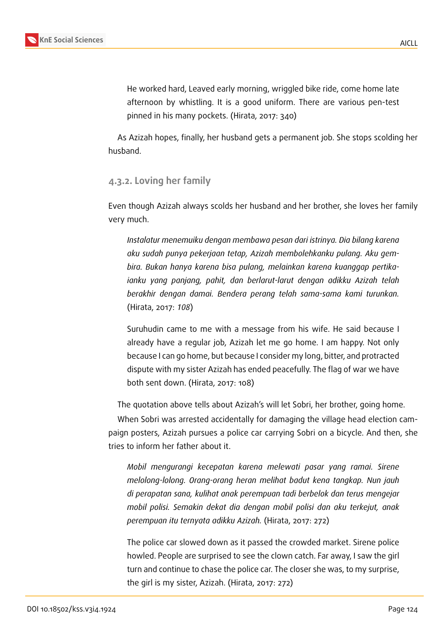

He worked hard, Leaved early morning, wriggled bike ride, come home late afternoon by whistling. It is a good uniform. There are various pen-test pinned in his many pockets. (Hirata, 2017: 340)

As Azizah hopes, finally, her husband gets a permanent job. She stops scolding her husband.

### **4.3.2. Loving her family**

Even though Azizah always scolds her husband and her brother, she loves her family very much.

*Instalatur menemuiku dengan membawa pesan dari istrinya. Dia bilang karena aku sudah punya pekerjaan tetap, Azizah membolehkanku pulang. Aku gembira. Bukan hanya karena bisa pulang, melainkan karena kuanggap pertikaianku yang panjang, pahit, dan berlarut-larut dengan adikku Azizah telah berakhir dengan damai. Bendera perang telah sama-sama kami turunkan.* (Hirata, 2017: *108*)

Suruhudin came to me with a message from his wife. He said because I already have a regular job, Azizah let me go home. I am happy. Not only because I can go home, but because I consider my long, bitter, and protracted dispute with my sister Azizah has ended peacefully. The flag of war we have both sent down. (Hirata, 2017: 108)

The quotation above tells about Azizah's will let Sobri, her brother, going home.

When Sobri was arrested accidentally for damaging the village head election campaign posters, Azizah pursues a police car carrying Sobri on a bicycle. And then, she tries to inform her father about it.

*Mobil mengurangi kecepatan karena melewati pasar yang ramai. Sirene melolong-lolong. Orang-orang heran melihat badut kena tangkap. Nun jauh di perapatan sana, kulihat anak perempuan tadi berbelok dan terus mengejar mobil polisi. Semakin dekat dia dengan mobil polisi dan aku terkejut, anak perempuan itu ternyata adikku Azizah.* (Hirata, 2017: 272)

The police car slowed down as it passed the crowded market. Sirene police howled. People are surprised to see the clown catch. Far away, I saw the girl turn and continue to chase the police car. The closer she was, to my surprise, the girl is my sister, Azizah. (Hirata, 2017: 272)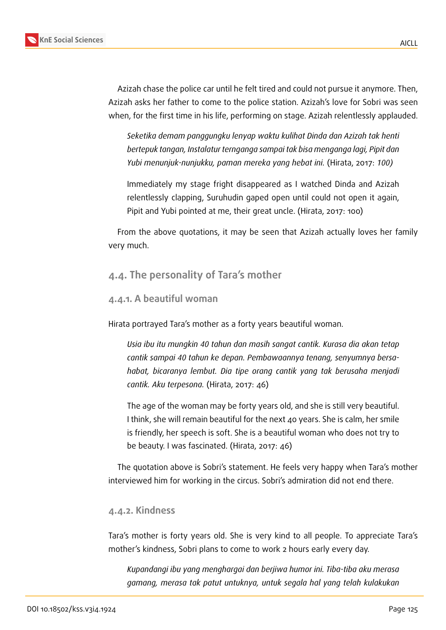

AICLL

Azizah chase the police car until he felt tired and could not pursue it anymore. Then, Azizah asks her father to come to the police station. Azizah's love for Sobri was seen when, for the first time in his life, performing on stage. Azizah relentlessly applauded.

*Seketika demam panggungku lenyap waktu kulihat Dinda dan Azizah tak henti bertepuk tangan, Instalatur ternganga sampai tak bisa menganga lagi, Pipit dan Yubi menunjuk-nunjukku, paman mereka yang hebat ini.* (Hirata, 2017: *100)*

Immediately my stage fright disappeared as I watched Dinda and Azizah relentlessly clapping, Suruhudin gaped open until could not open it again, Pipit and Yubi pointed at me, their great uncle. (Hirata, 2017: 100)

From the above quotations, it may be seen that Azizah actually loves her family very much.

## **4.4. The personality of Tara's mother**

#### **4.4.1. A beautiful woman**

Hirata portrayed Tara's mother as a forty years beautiful woman.

*Usia ibu itu mungkin 40 tahun dan masih sangat cantik. Kurasa dia akan tetap cantik sampai 40 tahun ke depan. Pembawaannya tenang, senyumnya bersahabat, bicaranya lembut. Dia tipe orang cantik yang tak berusaha menjadi cantik. Aku terpesona.* (Hirata, 2017: 46)

The age of the woman may be forty years old, and she is still very beautiful. I think, she will remain beautiful for the next 40 years. She is calm, her smile is friendly, her speech is soft. She is a beautiful woman who does not try to be beauty. I was fascinated. (Hirata, 2017: 46)

The quotation above is Sobri's statement. He feels very happy when Tara's mother interviewed him for working in the circus. Sobri's admiration did not end there.

#### **4.4.2. Kindness**

Tara's mother is forty years old. She is very kind to all people. To appreciate Tara's mother's kindness, Sobri plans to come to work 2 hours early every day.

*Kupandangi ibu yang menghargai dan berjiwa humor ini. Tiba-tiba aku merasa gamang, merasa tak patut untuknya, untuk segala hal yang telah kulakukan*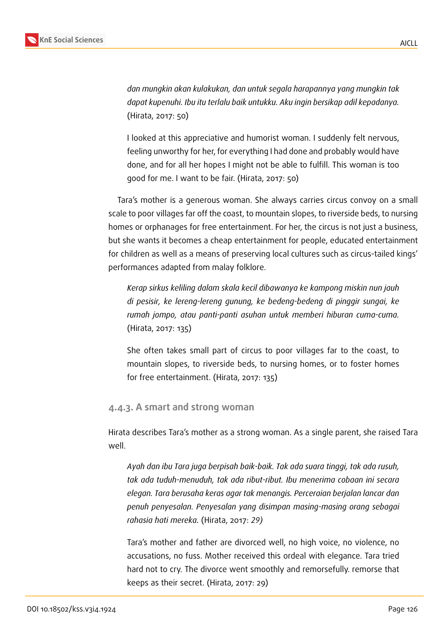

*dan mungkin akan kulakukan, dan untuk segala harapannya yang mungkin tak dapat kupenuhi. Ibu itu terlalu baik untukku. Aku ingin bersikap adil kepadanya.* (Hirata, 2017: 50)

I looked at this appreciative and humorist woman. I suddenly felt nervous, feeling unworthy for her, for everything I had done and probably would have done, and for all her hopes I might not be able to fulfill. This woman is too good for me. I want to be fair. (Hirata, 2017: 50)

Tara's mother is a generous woman. She always carries circus convoy on a small scale to poor villages far off the coast, to mountain slopes, to riverside beds, to nursing homes or orphanages for free entertainment. For her, the circus is not just a business, but she wants it becomes a cheap entertainment for people, educated entertainment for children as well as a means of preserving local cultures such as circus-tailed kings' performances adapted from malay folklore.

*Kerap sirkus keliling dalam skala kecil dibawanya ke kampong miskin nun jauh di pesisir, ke lereng-lereng gunung, ke bedeng-bedeng di pinggir sungai, ke rumah jompo, atau panti-panti asuhan untuk memberi hiburan cuma-cuma.* (Hirata, 2017: 135)

She often takes small part of circus to poor villages far to the coast, to mountain slopes, to riverside beds, to nursing homes, or to foster homes for free entertainment. (Hirata, 2017: 135)

#### **4.4.3. A smart and strong woman**

Hirata describes Tara's mother as a strong woman. As a single parent, she raised Tara well.

*Ayah dan ibu Tara juga berpisah baik-baik. Tak ada suara tinggi, tak ada rusuh, tak ada tuduh-menuduh, tak ada ribut-ribut. Ibu menerima cobaan ini secara elegan. Tara berusaha keras agar tak menangis. Perceraian berjalan lancar dan penuh penyesalan. Penyesalan yang disimpan masing-masing orang sebagai rahasia hati mereka.* (Hirata, 2017: *29)*

Tara's mother and father are divorced well, no high voice, no violence, no accusations, no fuss. Mother received this ordeal with elegance. Tara tried hard not to cry. The divorce went smoothly and remorsefully. remorse that keeps as their secret. (Hirata, 2017: 29)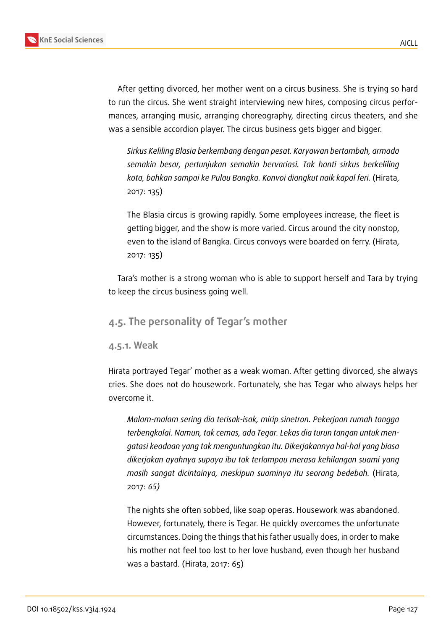

After getting divorced, her mother went on a circus business. She is trying so hard to run the circus. She went straight interviewing new hires, composing circus performances, arranging music, arranging choreography, directing circus theaters, and she was a sensible accordion player. The circus business gets bigger and bigger.

*Sirkus Keliling Blasia berkembang dengan pesat. Karyawan bertambah, armada semakin besar, pertunjukan semakin bervariasi. Tak hanti sirkus berkeliling kota, bahkan sampai ke Pulau Bangka. Konvoi diangkut naik kapal feri.* (Hirata, 2017: 135)

The Blasia circus is growing rapidly. Some employees increase, the fleet is getting bigger, and the show is more varied. Circus around the city nonstop, even to the island of Bangka. Circus convoys were boarded on ferry. (Hirata, 2017: 135)

Tara's mother is a strong woman who is able to support herself and Tara by trying to keep the circus business going well.

### **4.5. The personality of Tegar's mother**

#### **4.5.1. Weak**

Hirata portrayed Tegar' mother as a weak woman. After getting divorced, she always cries. She does not do housework. Fortunately, she has Tegar who always helps her overcome it.

*Malam-malam sering dia terisak-isak, mirip sinetron. Pekerjaan rumah tangga terbengkalai. Namun, tak cemas, ada Tegar. Lekas dia turun tangan untuk mengatasi keadaan yang tak menguntungkan itu. Dikerjakannya hal-hal yang biasa dikerjakan ayahnya supaya ibu tak terlampau merasa kehilangan suami yang masih sangat dicintainya, meskipun suaminya itu seorang bedebah.* (Hirata, 2017: *65)*

The nights she often sobbed, like soap operas. Housework was abandoned. However, fortunately, there is Tegar. He quickly overcomes the unfortunate circumstances. Doing the things that his father usually does, in order to make his mother not feel too lost to her love husband, even though her husband was a bastard. (Hirata, 2017: 65)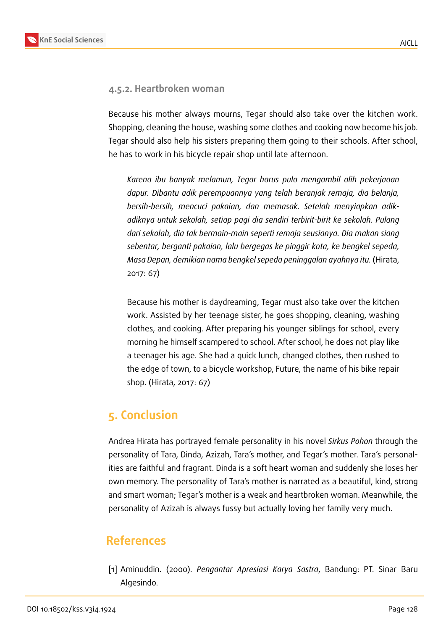#### **4.5.2. Heartbroken woman**

Because his mother always mourns, Tegar should also take over the kitchen work. Shopping, cleaning the house, washing some clothes and cooking now become his job. Tegar should also help his sisters preparing them going to their schools. After school, he has to work in his bicycle repair shop until late afternoon.

*Karena ibu banyak melamun, Tegar harus pula mengambil alih pekerjaaan dapur. Dibantu adik perempuannya yang telah beranjak remaja, dia belanja, bersih-bersih, mencuci pakaian, dan memasak. Setelah menyiapkan adikadiknya untuk sekolah, setiap pagi dia sendiri terbirit-birit ke sekolah. Pulang dari sekolah, dia tak bermain-main seperti remaja seusianya. Dia makan siang sebentar, berganti pakaian, lalu bergegas ke pinggir kota, ke bengkel sepeda, Masa Depan, demikian nama bengkel sepeda peninggalan ayahnya itu.*(Hirata, 2017: 67)

Because his mother is daydreaming, Tegar must also take over the kitchen work. Assisted by her teenage sister, he goes shopping, cleaning, washing clothes, and cooking. After preparing his younger siblings for school, every morning he himself scampered to school. After school, he does not play like a teenager his age. She had a quick lunch, changed clothes, then rushed to the edge of town, to a bicycle workshop, Future, the name of his bike repair shop. (Hirata, 2017: 67)

## **5. Conclusion**

Andrea Hirata has portrayed female personality in his novel *Sirkus Pohon* through the personality of Tara, Dinda, Azizah, Tara's mother, and Tegar's mother. Tara's personalities are faithful and fragrant. Dinda is a soft heart woman and suddenly she loses her own memory. The personality of Tara's mother is narrated as a beautiful, kind, strong and smart woman; Tegar's mother is a weak and heartbroken woman. Meanwhile, the personality of Azizah is always fussy but actually loving her family very much.

## **References**

[1] Aminuddin. (2000). *Pengantar Apresiasi Karya Sastra*, Bandung: PT. Sinar Baru Algesindo.